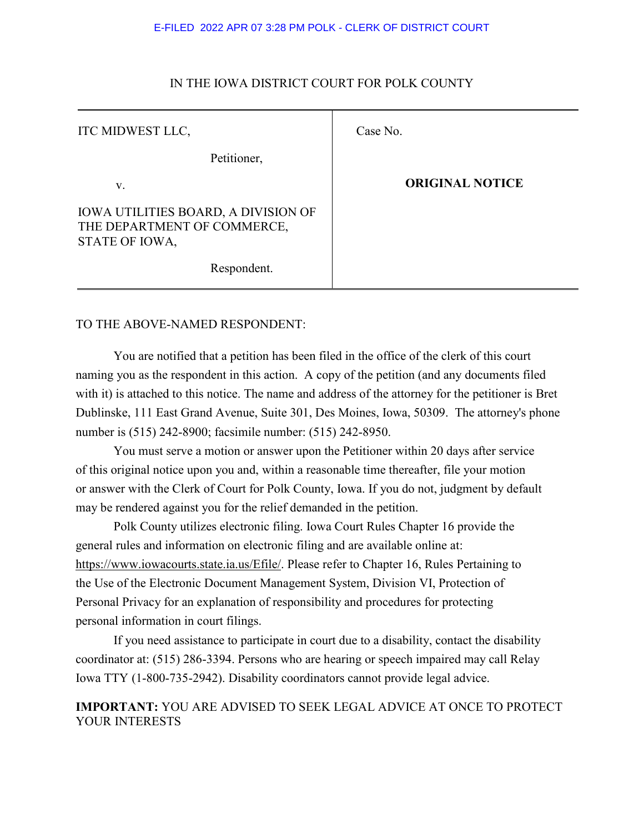#### E-FILED 2022 APR 07 3:28 PM POLK - CLERK OF DISTRICT COURT

| ITC MIDWEST LLC,                                                                            | Case No.               |
|---------------------------------------------------------------------------------------------|------------------------|
| Petitioner,                                                                                 |                        |
| V.                                                                                          | <b>ORIGINAL NOTICE</b> |
| <b>IOWA UTILITIES BOARD, A DIVISION OF</b><br>THE DEPARTMENT OF COMMERCE,<br>STATE OF IOWA, |                        |
| Respondent.                                                                                 |                        |

## IN THE IOWA DISTRICT COURT FOR POLK COUNTY

# TO THE ABOVE-NAMED RESPONDENT:

You are notified that a petition has been filed in the office of the clerk of this court naming you as the respondent in this action. A copy of the petition (and any documents filed with it) is attached to this notice. The name and address of the attorney for the petitioner is Bret Dublinske, 111 East Grand Avenue, Suite 301, Des Moines, Iowa, 50309. The attorney's phone number is (515) 242-8900; facsimile number: (515) 242-8950.

You must serve a motion or answer upon the Petitioner within 20 days after service of this original notice upon you and, within a reasonable time thereafter, file your motion or answer with the Clerk of Court for Polk County, Iowa. If you do not, judgment by default may be rendered against you for the relief demanded in the petition.

Polk County utilizes electronic filing. Iowa Court Rules Chapter 16 provide the general rules and information on electronic filing and are available online at: https://www.iowacourts.state.ia.us/Efile/. Please refer to Chapter 16, Rules Pertaining to the Use of the Electronic Document Management System, Division VI, Protection of Personal Privacy for an explanation of responsibility and procedures for protecting personal information in court filings.

If you need assistance to participate in court due to a disability, contact the disability coordinator at: (515) 286-3394. Persons who are hearing or speech impaired may call Relay Iowa TTY (1-800-735-2942). Disability coordinators cannot provide legal advice.

**IMPORTANT:** YOU ARE ADVISED TO SEEK LEGAL ADVICE AT ONCE TO PROTECT YOUR INTERESTS